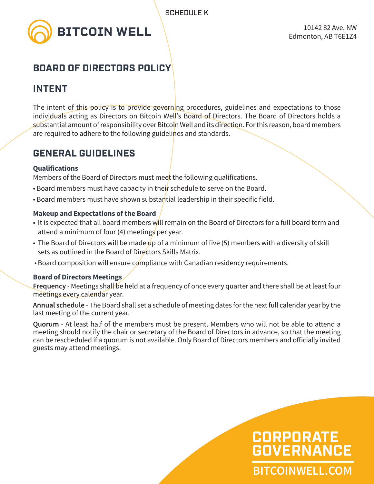

## **BOARD OF DIRECTORS POLICY**

## **INTENT**

The intent of this policy is to provide governing procedures, guidelines and expectations to those individuals acting as Directors on Bitcoin Well's Board of Directors. The Board of Directors holds a substantial amount of responsibility over Bitcoin Well and its direction. For this reason, board members are required to adhere to the following guidelines and standards.

## **GENERAL GUIDELINES**

### **Qualifications**

Members of the Board of Directors must meet the following qualifications.

- Board members must have capacity in their schedule to serve on the Board.
- Board members must have shown substantial leadership in their specific field.

### **Makeup and Expectations of the Board**

- It is expected that all board members will remain on the Board of Directors for a full board term and attend a minimum of four (4) meetings per year.
- The Board of Directors will be made up of a minimum of five  $(5)$  members with a diversity of skill sets as outlined in the Board of Directors Skills Matrix.
- Board composition will ensure compliance with Canadian residency requirements.

### **Board of Directors Meetings**

**Frequency** - Meetings shall be held at a frequency of once every quarter and there shall be at least four meetings every calendar year.

**Annual schedule** - The Board shall set a schedule of meeting dates for the next full calendar year by the last meeting of the current year.

**Quorum** - At least half of the members must be present. Members who will not be able to attend a meeting should notify the chair or secretary of the Board of Directors in advance, so that the meeting can be rescheduled if a quorum is not available. Only Board of Directors members and officially invited guests may attend meetings.

# **BITCOINWELL.COM CORPORATE GOVERNANCE**